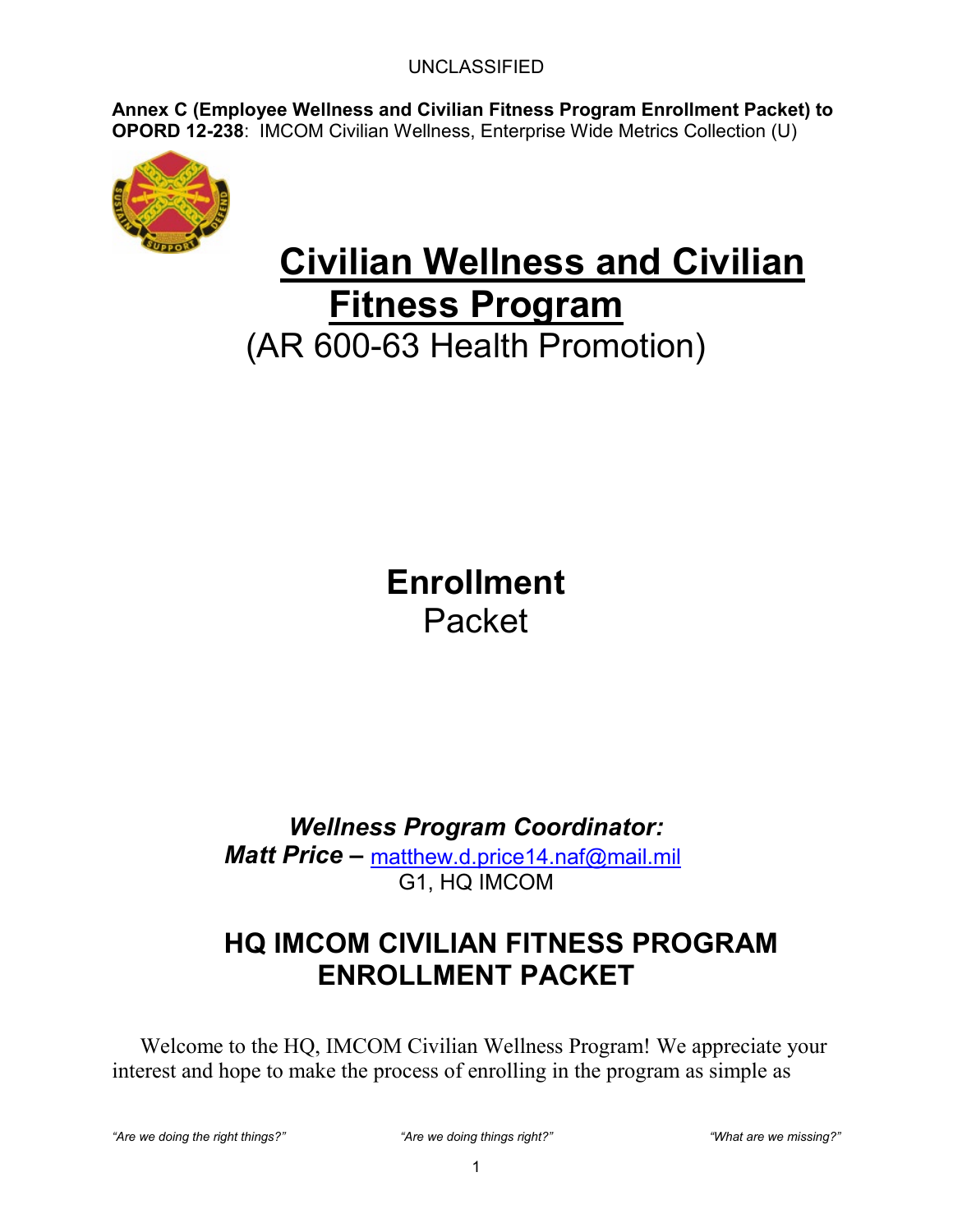**Annex C (Employee Wellness and Civilian Fitness Program Enrollment Packet) to OPORD 12-238**: IMCOM Civilian Wellness, Enterprise Wide Metrics Collection (U)



# **Civilian Wellness and Civilian Fitness Program**

(AR 600-63 Health Promotion)

**Enrollment**  Packet

*Wellness Program Coordinator:*

*Matt Price –* [matthew.d.price14.naf@mail.mil](mailto:matthew.d.price14.naf@mail.mil) G1, HQ IMCOM

### **HQ IMCOM CIVILIAN FITNESS PROGRAM ENROLLMENT PACKET**

Welcome to the HQ, IMCOM Civilian Wellness Program! We appreciate your interest and hope to make the process of enrolling in the program as simple as

*"Are we doing the right things?" "Are we doing things right?" "What are we missing?"*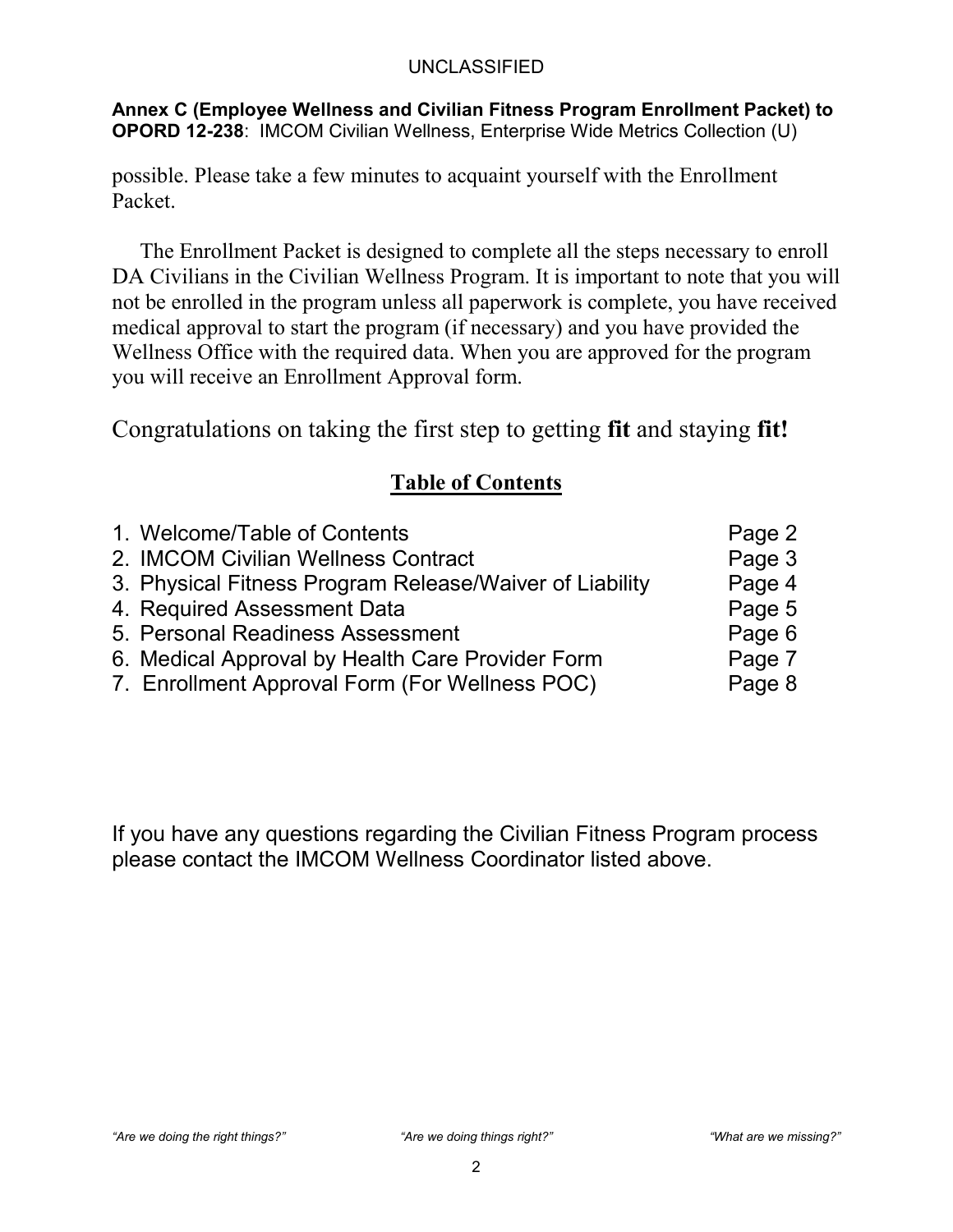**Annex C (Employee Wellness and Civilian Fitness Program Enrollment Packet) to OPORD 12-238**: IMCOM Civilian Wellness, Enterprise Wide Metrics Collection (U)

possible. Please take a few minutes to acquaint yourself with the Enrollment Packet.

The Enrollment Packet is designed to complete all the steps necessary to enroll DA Civilians in the Civilian Wellness Program. It is important to note that you will not be enrolled in the program unless all paperwork is complete, you have received medical approval to start the program (if necessary) and you have provided the Wellness Office with the required data. When you are approved for the program you will receive an Enrollment Approval form.

Congratulations on taking the first step to getting **fit** and staying **fit!**

### **Table of Contents**

| 1. Welcome/Table of Contents                            | Page 2 |
|---------------------------------------------------------|--------|
| 2. IMCOM Civilian Wellness Contract                     | Page 3 |
| 3. Physical Fitness Program Release/Waiver of Liability | Page 4 |
| 4. Required Assessment Data                             | Page 5 |
| 5. Personal Readiness Assessment                        | Page 6 |
| 6. Medical Approval by Health Care Provider Form        | Page 7 |
| 7. Enrollment Approval Form (For Wellness POC)          | Page 8 |

If you have any questions regarding the Civilian Fitness Program process please contact the IMCOM Wellness Coordinator listed above.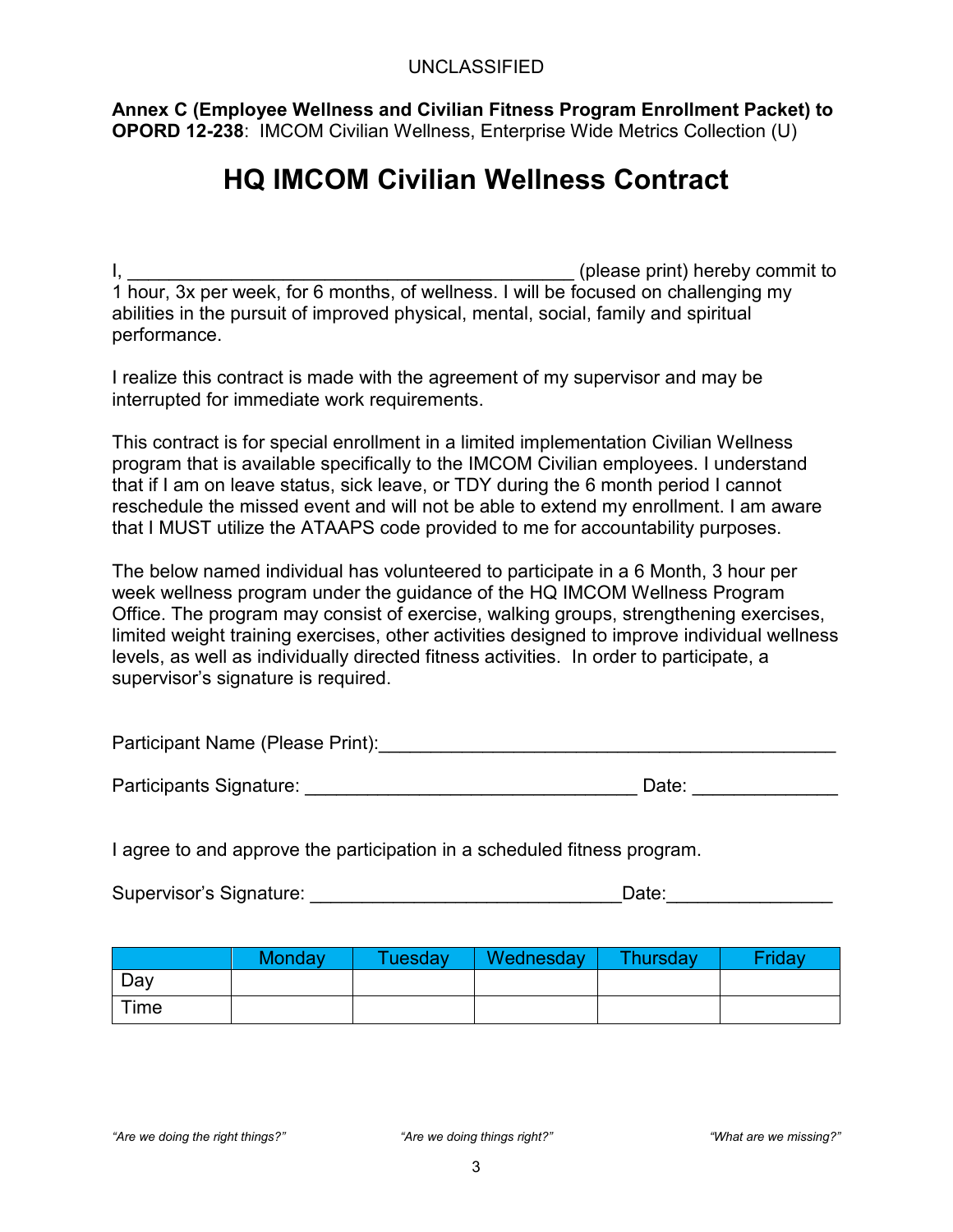**Annex C (Employee Wellness and Civilian Fitness Program Enrollment Packet) to OPORD 12-238**: IMCOM Civilian Wellness, Enterprise Wide Metrics Collection (U)

### **HQ IMCOM Civilian Wellness Contract**

I, Letting the same principle as  $\sim$  (please print) hereby commit to 1 hour, 3x per week, for 6 months, of wellness. I will be focused on challenging my abilities in the pursuit of improved physical, mental, social, family and spiritual performance.

I realize this contract is made with the agreement of my supervisor and may be interrupted for immediate work requirements.

This contract is for special enrollment in a limited implementation Civilian Wellness program that is available specifically to the IMCOM Civilian employees. I understand that if I am on leave status, sick leave, or TDY during the 6 month period I cannot reschedule the missed event and will not be able to extend my enrollment. I am aware that I MUST utilize the ATAAPS code provided to me for accountability purposes.

The below named individual has volunteered to participate in a 6 Month, 3 hour per week wellness program under the guidance of the HQ IMCOM Wellness Program Office. The program may consist of exercise, walking groups, strengthening exercises, limited weight training exercises, other activities designed to improve individual wellness levels, as well as individually directed fitness activities. In order to participate, a supervisor's signature is required.

| Participant Name (Please Print): |  |  |
|----------------------------------|--|--|
|----------------------------------|--|--|

| Participants Signature: | Date: |  |
|-------------------------|-------|--|
|                         |       |  |

I agree to and approve the participation in a scheduled fitness program.

| Supervisor's Signature:<br>Date |
|---------------------------------|
|---------------------------------|

|      | Monday | Tuesdav | Wednesday | Thursday | Fridav |
|------|--------|---------|-----------|----------|--------|
| Day  |        |         |           |          |        |
| Time |        |         |           |          |        |

*"Are we doing the right things?" "Are we doing things right?" "What are we missing?"*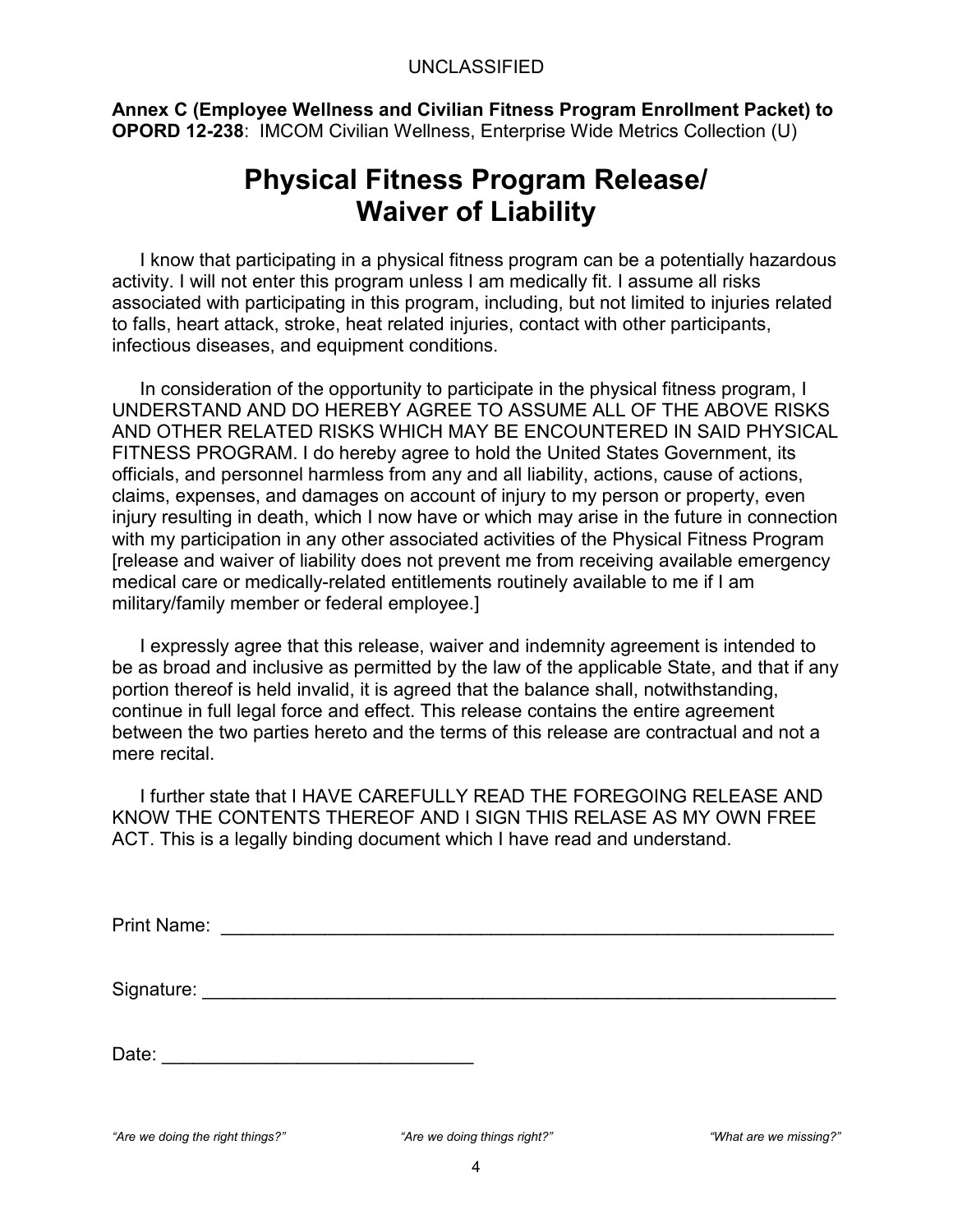**Annex C (Employee Wellness and Civilian Fitness Program Enrollment Packet) to OPORD 12-238**: IMCOM Civilian Wellness, Enterprise Wide Metrics Collection (U)

### **Physical Fitness Program Release/ Waiver of Liability**

I know that participating in a physical fitness program can be a potentially hazardous activity. I will not enter this program unless I am medically fit. I assume all risks associated with participating in this program, including, but not limited to injuries related to falls, heart attack, stroke, heat related injuries, contact with other participants, infectious diseases, and equipment conditions.

In consideration of the opportunity to participate in the physical fitness program, I UNDERSTAND AND DO HEREBY AGREE TO ASSUME ALL OF THE ABOVE RISKS AND OTHER RELATED RISKS WHICH MAY BE ENCOUNTERED IN SAID PHYSICAL FITNESS PROGRAM. I do hereby agree to hold the United States Government, its officials, and personnel harmless from any and all liability, actions, cause of actions, claims, expenses, and damages on account of injury to my person or property, even injury resulting in death, which I now have or which may arise in the future in connection with my participation in any other associated activities of the Physical Fitness Program [release and waiver of liability does not prevent me from receiving available emergency medical care or medically-related entitlements routinely available to me if I am military/family member or federal employee.]

I expressly agree that this release, waiver and indemnity agreement is intended to be as broad and inclusive as permitted by the law of the applicable State, and that if any portion thereof is held invalid, it is agreed that the balance shall, notwithstanding, continue in full legal force and effect. This release contains the entire agreement between the two parties hereto and the terms of this release are contractual and not a mere recital.

I further state that I HAVE CAREFULLY READ THE FOREGOING RELEASE AND KNOW THE CONTENTS THEREOF AND I SIGN THIS RELASE AS MY OWN FREE ACT. This is a legally binding document which I have read and understand.

| <b>Print Name:</b> |  |
|--------------------|--|
|                    |  |
|                    |  |
|                    |  |
|                    |  |
|                    |  |

Signature: \_\_\_\_\_\_\_\_\_\_\_\_\_\_\_\_\_\_\_\_\_\_\_\_\_\_\_\_\_\_\_\_\_\_\_\_\_\_\_\_\_\_\_\_\_\_\_\_\_\_\_\_\_\_\_\_\_\_\_\_\_

| Date: |  |
|-------|--|
|       |  |

```
"Are we doing the right things?" "Are we doing things right?" "What are we missing?"
```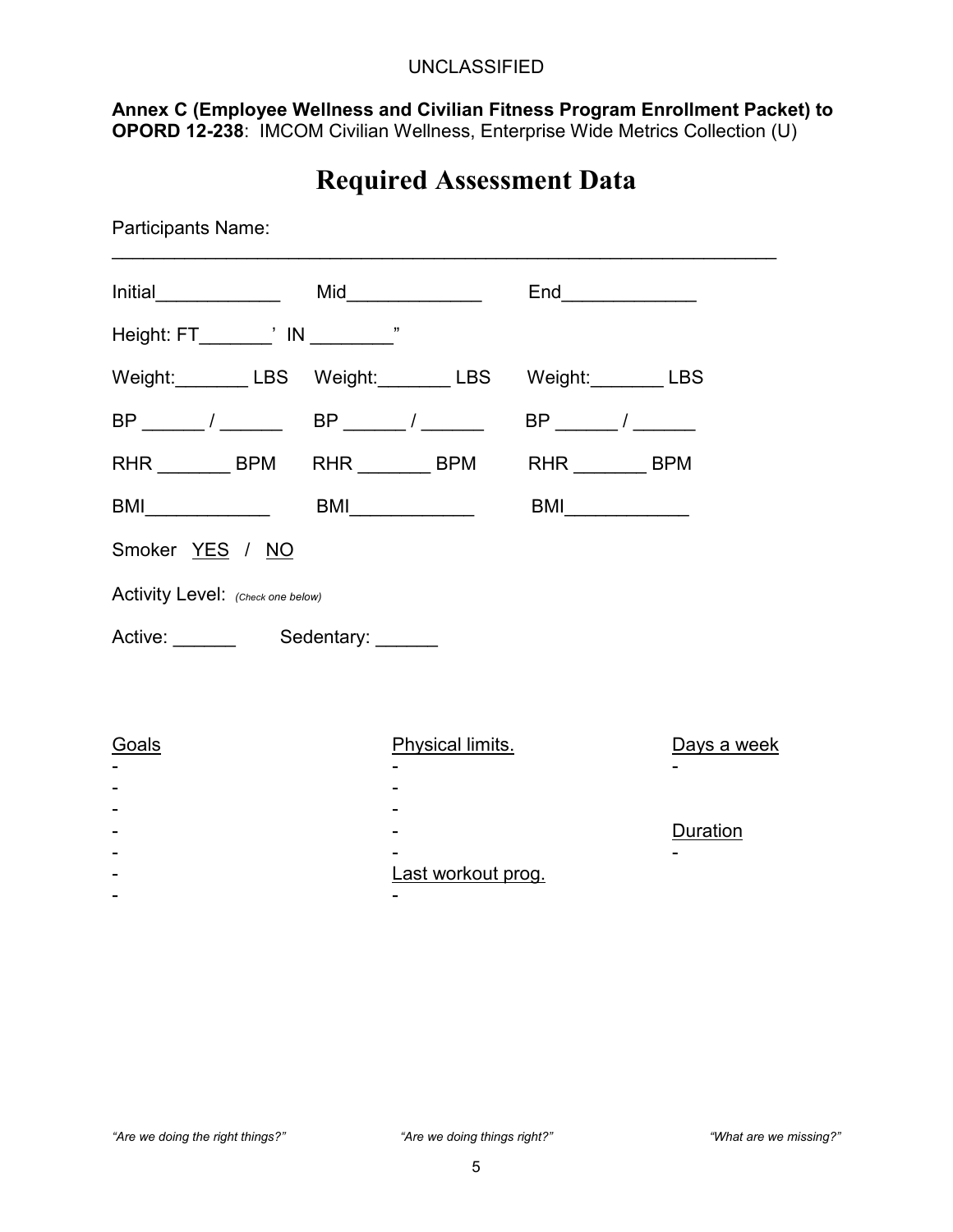**Annex C (Employee Wellness and Civilian Fitness Program Enrollment Packet) to OPORD 12-238**: IMCOM Civilian Wellness, Enterprise Wide Metrics Collection (U)

### **Required Assessment Data**

| <b>Participants Name:</b>                         |                         |                                                                                                                                                                                                                                                                                                                                                                                             |                 |
|---------------------------------------------------|-------------------------|---------------------------------------------------------------------------------------------------------------------------------------------------------------------------------------------------------------------------------------------------------------------------------------------------------------------------------------------------------------------------------------------|-----------------|
|                                                   |                         |                                                                                                                                                                                                                                                                                                                                                                                             |                 |
| Height: FT________' IN _________"                 |                         |                                                                                                                                                                                                                                                                                                                                                                                             |                 |
| Weight: LBS Weight: LBS Weight: LBS Weight: LBS   |                         |                                                                                                                                                                                                                                                                                                                                                                                             |                 |
|                                                   |                         |                                                                                                                                                                                                                                                                                                                                                                                             |                 |
| RHR ________ BPM RHR ________ BPM RHR _______ BPM |                         |                                                                                                                                                                                                                                                                                                                                                                                             |                 |
|                                                   |                         | $\begin{picture}(20,20) \put(0,0){\dashbox{0.5}(5,0){ }} \put(15,0){\circle{10}} \put(15,0){\circle{10}} \put(15,0){\circle{10}} \put(15,0){\circle{10}} \put(15,0){\circle{10}} \put(15,0){\circle{10}} \put(15,0){\circle{10}} \put(15,0){\circle{10}} \put(15,0){\circle{10}} \put(15,0){\circle{10}} \put(15,0){\circle{10}} \put(15,0){\circle{10}} \put(15,0){\circle{10}} \put(15,0$ |                 |
| Smoker YES / NO                                   |                         |                                                                                                                                                                                                                                                                                                                                                                                             |                 |
| Activity Level: (Check one below)                 |                         |                                                                                                                                                                                                                                                                                                                                                                                             |                 |
| Active: Sedentary: Charles Active:                |                         |                                                                                                                                                                                                                                                                                                                                                                                             |                 |
|                                                   |                         |                                                                                                                                                                                                                                                                                                                                                                                             |                 |
| <b>Goals</b>                                      | <b>Physical limits.</b> |                                                                                                                                                                                                                                                                                                                                                                                             | Days a week     |
|                                                   |                         |                                                                                                                                                                                                                                                                                                                                                                                             |                 |
|                                                   |                         |                                                                                                                                                                                                                                                                                                                                                                                             | <b>Duration</b> |
|                                                   | Last workout prog.      |                                                                                                                                                                                                                                                                                                                                                                                             |                 |
|                                                   |                         |                                                                                                                                                                                                                                                                                                                                                                                             |                 |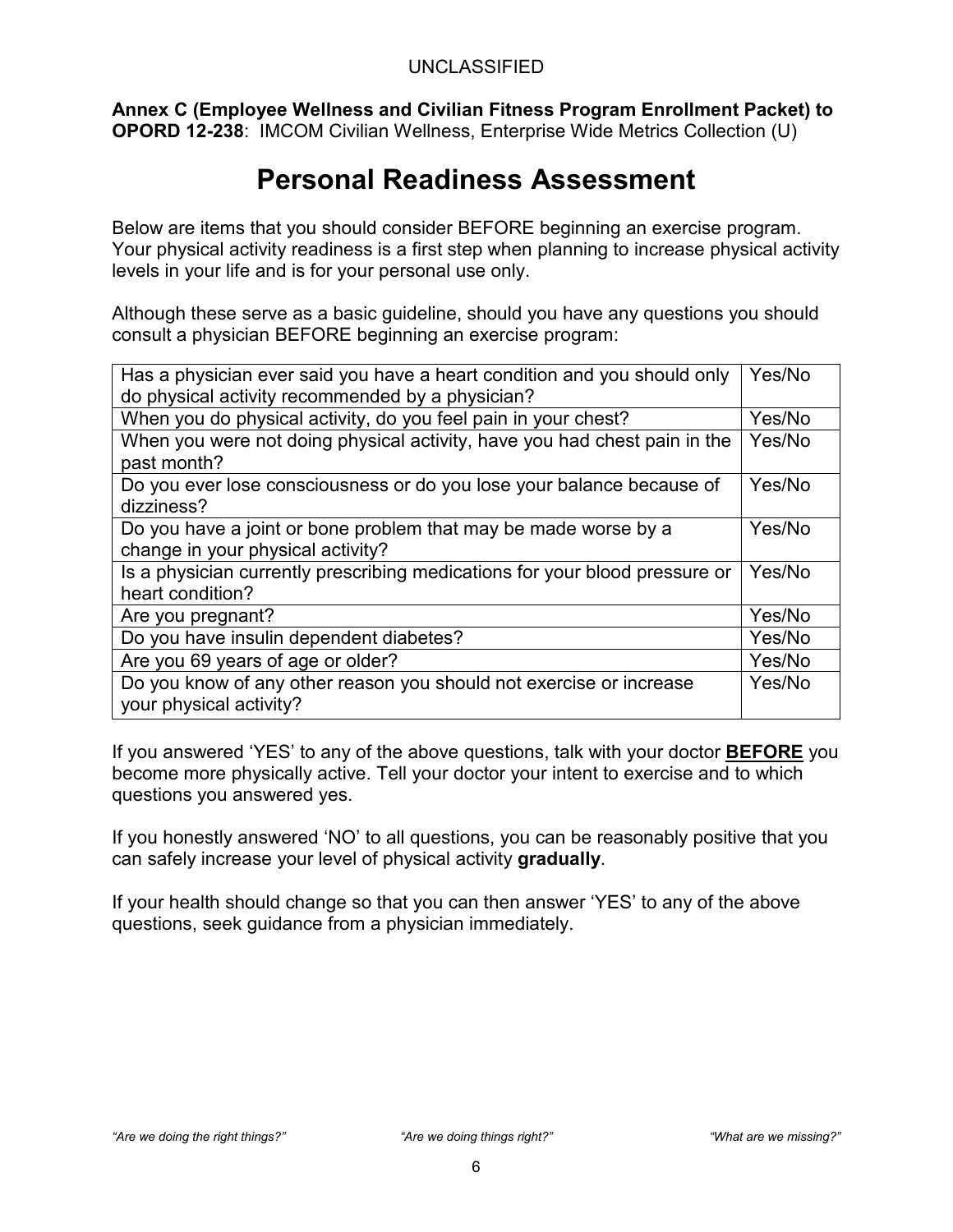**Annex C (Employee Wellness and Civilian Fitness Program Enrollment Packet) to OPORD 12-238**: IMCOM Civilian Wellness, Enterprise Wide Metrics Collection (U)

### **Personal Readiness Assessment**

Below are items that you should consider BEFORE beginning an exercise program. Your physical activity readiness is a first step when planning to increase physical activity levels in your life and is for your personal use only.

Although these serve as a basic guideline, should you have any questions you should consult a physician BEFORE beginning an exercise program:

| Has a physician ever said you have a heart condition and you should only                             | Yes/No |  |
|------------------------------------------------------------------------------------------------------|--------|--|
| do physical activity recommended by a physician?                                                     |        |  |
| When you do physical activity, do you feel pain in your chest?                                       | Yes/No |  |
| When you were not doing physical activity, have you had chest pain in the<br>past month?             | Yes/No |  |
| Do you ever lose consciousness or do you lose your balance because of<br>dizziness?                  | Yes/No |  |
| Do you have a joint or bone problem that may be made worse by a<br>change in your physical activity? | Yes/No |  |
| Is a physician currently prescribing medications for your blood pressure or<br>heart condition?      | Yes/No |  |
| Are you pregnant?                                                                                    | Yes/No |  |
| Do you have insulin dependent diabetes?                                                              | Yes/No |  |
| Are you 69 years of age or older?                                                                    | Yes/No |  |
| Do you know of any other reason you should not exercise or increase<br>your physical activity?       | Yes/No |  |

If you answered 'YES' to any of the above questions, talk with your doctor **BEFORE** you become more physically active. Tell your doctor your intent to exercise and to which questions you answered yes.

If you honestly answered 'NO' to all questions, you can be reasonably positive that you can safely increase your level of physical activity **gradually**.

If your health should change so that you can then answer 'YES' to any of the above questions, seek guidance from a physician immediately.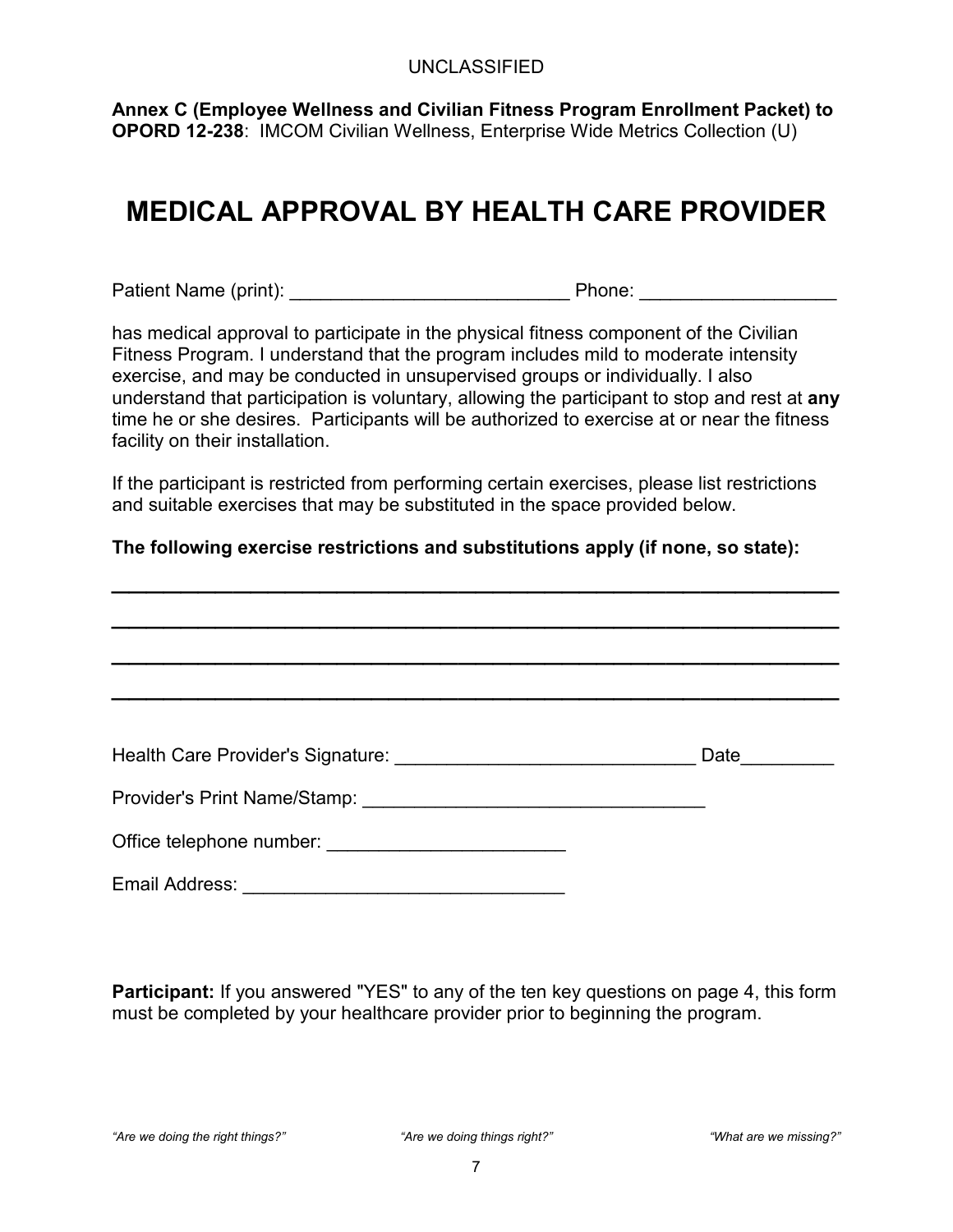**Annex C (Employee Wellness and Civilian Fitness Program Enrollment Packet) to OPORD 12-238**: IMCOM Civilian Wellness, Enterprise Wide Metrics Collection (U)

## **MEDICAL APPROVAL BY HEALTH CARE PROVIDER**

Patient Name (print): example and the Phone: example and principal Phone:  $\blacksquare$ 

has medical approval to participate in the physical fitness component of the Civilian Fitness Program. I understand that the program includes mild to moderate intensity exercise, and may be conducted in unsupervised groups or individually. I also understand that participation is voluntary, allowing the participant to stop and rest at **any**  time he or she desires. Participants will be authorized to exercise at or near the fitness facility on their installation.

If the participant is restricted from performing certain exercises, please list restrictions and suitable exercises that may be substituted in the space provided below.

#### **The following exercise restrictions and substitutions apply (if none, so state):**

|                | <b>Date</b> |
|----------------|-------------|
|                |             |
|                |             |
| Email Address: |             |

**Participant:** If you answered "YES" to any of the ten key questions on page 4, this form must be completed by your healthcare provider prior to beginning the program.

*"Are we doing the right things?" "Are we doing things right?" "What are we missing?"*